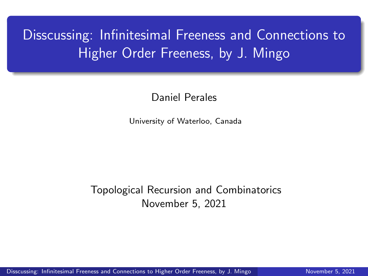# <span id="page-0-0"></span>Disscussing: Infinitesimal Freeness and Connections to Higher Order Freeness, by J. Mingo

Daniel Perales

University of Waterloo, Canada

Topological Recursion and Combinatorics November 5, 2021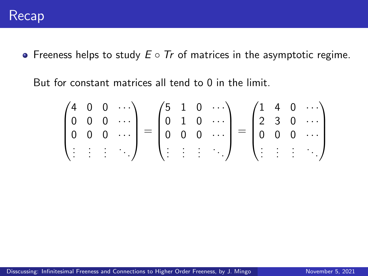But for constant matrices all tend to 0 in the limit.

$$
\begin{pmatrix} 4 & 0 & 0 & \cdots \\ 0 & 0 & 0 & \cdots \\ 0 & 0 & 0 & \cdots \\ \vdots & \vdots & \vdots & \ddots \end{pmatrix} = \begin{pmatrix} 5 & 1 & 0 & \cdots \\ 0 & 1 & 0 & \cdots \\ 0 & 0 & 0 & \cdots \\ \vdots & \vdots & \vdots & \ddots \end{pmatrix} = \begin{pmatrix} 1 & 4 & 0 & \cdots \\ 2 & 3 & 0 & \cdots \\ 0 & 0 & 0 & \cdots \\ \vdots & \vdots & \vdots & \ddots \end{pmatrix}
$$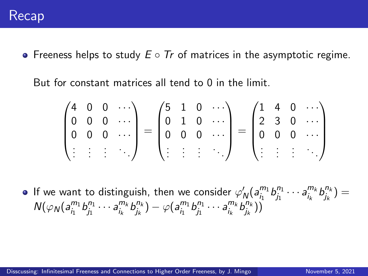But for constant matrices all tend to 0 in the limit.

$$
\begin{pmatrix} 4 & 0 & 0 & \cdots \\ 0 & 0 & 0 & \cdots \\ 0 & 0 & 0 & \cdots \\ \vdots & \vdots & \vdots & \ddots \end{pmatrix} = \begin{pmatrix} 5 & 1 & 0 & \cdots \\ 0 & 1 & 0 & \cdots \\ 0 & 0 & 0 & \cdots \\ \vdots & \vdots & \vdots & \ddots \end{pmatrix} = \begin{pmatrix} 1 & 4 & 0 & \cdots \\ 2 & 3 & 0 & \cdots \\ 0 & 0 & 0 & \cdots \\ \vdots & \vdots & \vdots & \ddots \end{pmatrix}
$$

If we want to distinguish, then we consider  $\varphi'_\mathsf{N}(\mathsf{a}_{\mathsf{i}_1}^{\mathsf{m}_1}$  $\binom{m_1}{i_1} b_{j_1}^{n_1}$  $j_1^{n_1} \cdots a_{i_k}^{m_k}$  $\int_{i_k}^{m_k} b_{j_k}^{n_k}$  $j_k^{n_k}$ )  $=$  $N(\varphi_N(a_{i_1}^{m_1}$  $\binom{m_1}{i_1} b_{j_1}^{n_1}$  $j_1^{n_1} \cdots a_{i_k}^{m_k}$  $\frac{m_k}{i_k} b_{j_k}^{n_k}$  $j_k^{n_k}$ ) –  $\varphi(a_{i_1}^{m_1})$  $\int_{i_1}^{m_1} b_{j_1}^{n_1}$  $j_1^{n_1} \cdots a_{i_k}^{m_k}$  $\frac{m_k}{i_k}$   $b_{j_k}^{n_k}$  $\binom{n_k}{j_k}$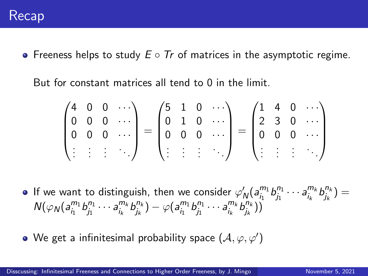But for constant matrices all tend to 0 in the limit.

$$
\begin{pmatrix} 4 & 0 & 0 & \cdots \\ 0 & 0 & 0 & \cdots \\ 0 & 0 & 0 & \cdots \\ \vdots & \vdots & \vdots & \ddots \end{pmatrix} = \begin{pmatrix} 5 & 1 & 0 & \cdots \\ 0 & 1 & 0 & \cdots \\ 0 & 0 & 0 & \cdots \\ \vdots & \vdots & \vdots & \ddots \end{pmatrix} = \begin{pmatrix} 1 & 4 & 0 & \cdots \\ 2 & 3 & 0 & \cdots \\ 0 & 0 & 0 & \cdots \\ \vdots & \vdots & \vdots & \ddots \end{pmatrix}
$$

If we want to distinguish, then we consider  $\varphi'_\mathsf{N}(\mathsf{a}_{\mathsf{i}_1}^{\mathsf{m}_1}$  $\binom{m_1}{i_1} b_{j_1}^{n_1}$  $j_1^{n_1} \cdots a_{i_k}^{m_k}$  $\int_{i_k}^{m_k} b_{j_k}^{n_k}$  $j_k^{n_k}$ )  $=$  $N(\varphi_N(a_{i_1}^{m_1}$  $\binom{m_1}{i_1} b_{j_1}^{n_1}$  $j_1^{n_1} \cdots a_{i_k}^{m_k}$  $\frac{m_k}{i_k} b_{j_k}^{n_k}$  $j_k^{n_k}$ ) –  $\varphi(a_{i_1}^{m_1})$  $\int_{i_1}^{m_1} b_{j_1}^{n_1}$  $j_1^{n_1} \cdots a_{i_k}^{m_k}$  $\frac{m_k}{i_k}$   $b_{j_k}^{n_k}$  $\binom{n_k}{j_k}$ 

We get a infinitesimal probability space  $(\mathcal{A},\varphi,\varphi')$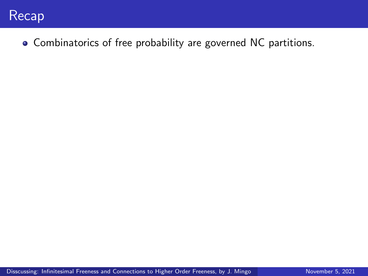

• Combinatorics of free probability are governed NC partitions.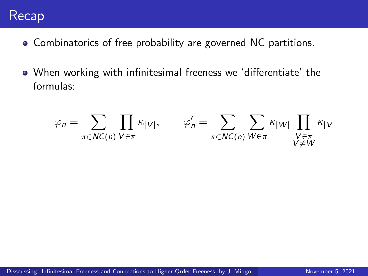

- Combinatorics of free probability are governed NC partitions.
- When working with infinitesimal freeness we 'differentiate' the formulas:

$$
\varphi_n = \sum_{\pi \in NC(n)} \prod_{V \in \pi} \kappa_{|V|}, \qquad \varphi'_n = \sum_{\pi \in NC(n)} \sum_{W \in \pi} \kappa_{|W|} \prod_{\substack{V \in \pi \\ V \neq W}} \kappa_{|V|}
$$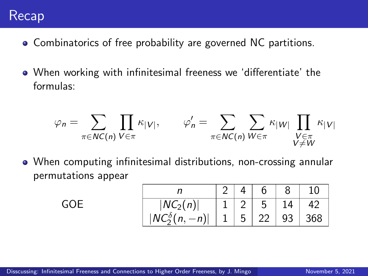

- Combinatorics of free probability are governed NC partitions.
- When working with infinitesimal freeness we 'differentiate' the formulas:

$$
\varphi_n = \sum_{\pi \in NC(n)} \prod_{V \in \pi} \kappa_{|V|}, \qquad \varphi'_n = \sum_{\pi \in NC(n)} \sum_{W \in \pi} \kappa_{|W|} \prod_{\substack{V \in \pi \\ V \neq W}} \kappa_{|V|}
$$

When computing infinitesimal distributions, non-crossing annular permutations appear

| $ NC_2(n) $             |     | 5  | 14 |     |
|-------------------------|-----|----|----|-----|
| $ NC_2^{\delta}(n,-n) $ | - 5 | 22 | 93 | 368 |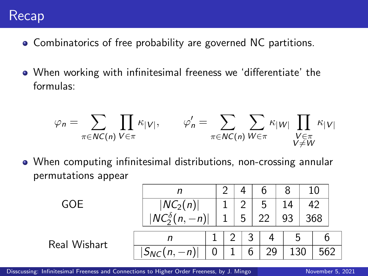

- Combinatorics of free probability are governed NC partitions.
- When working with infinitesimal freeness we 'differentiate' the formulas:

$$
\varphi_n = \sum_{\pi \in NC(n)} \prod_{V \in \pi} \kappa_{|V|}, \qquad \varphi'_n = \sum_{\pi \in NC(n)} \sum_{W \in \pi} \kappa_{|W|} \prod_{\substack{V \in \pi \\ V \neq W}} \kappa_{|V|}
$$

When computing infinitesimal distributions, non-crossing annular permutations appear

|              |                                           |  |   |    |   | 10  |  |
|--------------|-------------------------------------------|--|---|----|---|-----|--|
| GOE          | $\frac{ NC_2(n) }{ NC_2^{\delta}(n,-n) }$ |  | 2 |    |   | 42  |  |
|              |                                           |  | 5 | 22 |   | 368 |  |
| Real Wishart |                                           |  | 3 |    | ხ |     |  |
|              | $ S_{NC}(n,-n) $                          |  |   |    |   |     |  |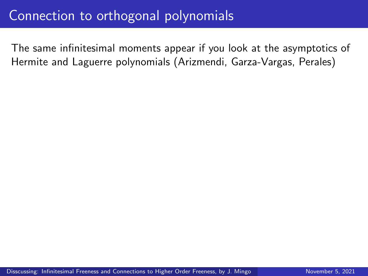The same infinitesimal moments appear if you look at the asymptotics of Hermite and Laguerre polynomials (Arizmendi, Garza-Vargas, Perales)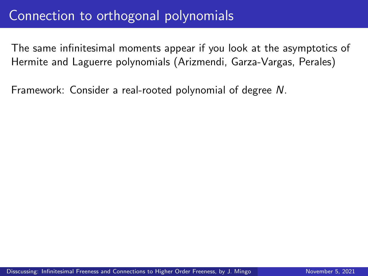The same infinitesimal moments appear if you look at the asymptotics of Hermite and Laguerre polynomials (Arizmendi, Garza-Vargas, Perales)

Framework: Consider a real-rooted polynomial of degree N.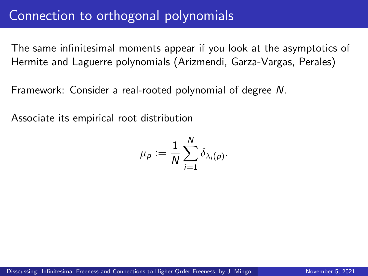The same infinitesimal moments appear if you look at the asymptotics of Hermite and Laguerre polynomials (Arizmendi, Garza-Vargas, Perales)

Framework: Consider a real-rooted polynomial of degree N.

Associate its empirical root distribution

$$
\mu_{\boldsymbol{\rho}} := \frac{1}{N} \sum_{i=1}^N \delta_{\lambda_i(\boldsymbol{\rho})}.
$$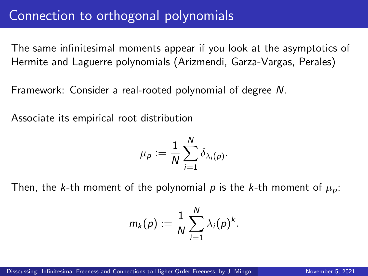The same infinitesimal moments appear if you look at the asymptotics of Hermite and Laguerre polynomials (Arizmendi, Garza-Vargas, Perales)

Framework: Consider a real-rooted polynomial of degree N.

Associate its empirical root distribution

$$
\mu_{\boldsymbol{\rho}} := \frac{1}{N} \sum_{i=1}^N \delta_{\lambda_i(\boldsymbol{\rho})}.
$$

Then, the k-th moment of the polynomial p is the k-th moment of  $\mu_p$ :

$$
m_k(p) := \frac{1}{N} \sum_{i=1}^N \lambda_i(p)^k.
$$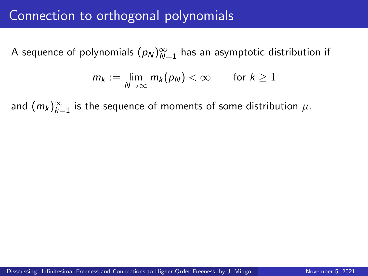A sequence of polynomials  $(\rho_N)_{N=1}^\infty$  has an asymptotic distribution if

$$
m_k := \lim_{N \to \infty} m_k(p_N) < \infty \qquad \text{for } k \geq 1
$$

and  $(m_k)_{k=1}^\infty$  is the sequence of moments of some distribution  $\mu.$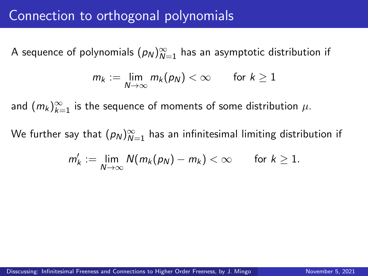A sequence of polynomials  $(\rho_N)_{N=1}^\infty$  has an asymptotic distribution if

$$
m_k := \lim_{N \to \infty} m_k(p_N) < \infty \qquad \text{for } k \geq 1
$$

and  $(m_k)_{k=1}^\infty$  is the sequence of moments of some distribution  $\mu.$ 

We further say that  $(\rho_N)_{N=1}^\infty$  has an infinitesimal limiting distribution if

$$
m'_k := \lim_{N \to \infty} N(m_k(p_N) - m_k) < \infty \quad \text{for } k \geq 1.
$$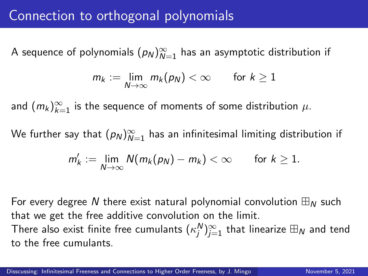A sequence of polynomials  $(\rho_N)_{N=1}^\infty$  has an asymptotic distribution if

$$
m_k := \lim_{N \to \infty} m_k(p_N) < \infty \qquad \text{for } k \geq 1
$$

and  $(m_k)_{k=1}^\infty$  is the sequence of moments of some distribution  $\mu.$ 

We further say that  $(\rho_N)_{N=1}^\infty$  has an infinitesimal limiting distribution if

$$
m'_k := \lim_{N \to \infty} N(m_k(p_N) - m_k) < \infty \quad \text{for } k \geq 1.
$$

For every degree N there exist natural polynomial convolution  $\mathbb{H}_N$  such that we get the free additive convolution on the limit. There also exist finite free cumulants  $(\kappa_j^N)_{j=1}^\infty$  that linearize  $\boxplus_N$  and tend to the free cumulants.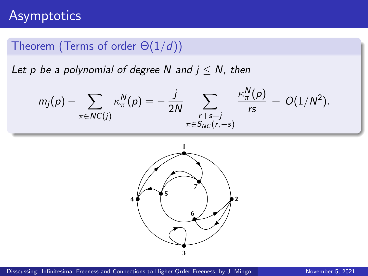### Asymptotics

### Theorem (Terms of order  $\Theta(1/d)$ )

Let p be a polynomial of degree N and  $j \leq N$ , then

$$
m_j(p)-\sum_{\pi\in NC(j)}\kappa_\pi^N(p)=-\frac{j}{2N}\sum_{\substack{r+s=j\\ \pi\in S_{NC}(r,-s)}}\frac{\kappa_\pi^N(p)}{rs}+O(1/N^2).
$$

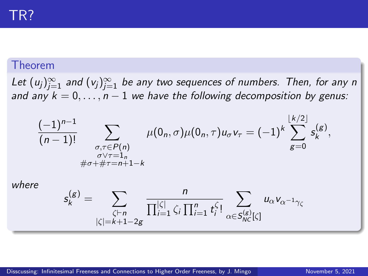#### Theorem

Let  $(u_j)_{j=1}^\infty$  and  $(v_j)_{j=1}^\infty$  be any two sequences of numbers. Then, for any n and any  $k = 0, \ldots, n - 1$  we have the following decomposition by genus:

$$
\frac{(-1)^{n-1}}{(n-1)!}\sum_{\substack{\sigma,\tau\in P(n)\\ \sigma\vee\tau=1_n\\ \#\sigma+\#\tau=n+1-k}}\mu(0_n,\sigma)\mu(0_n,\tau)u_{\sigma}v_{\tau}=(-1)^k\sum_{g=0}^{\lfloor k/2\rfloor} s_k^{(g)},
$$

where

$$
s_k^{(g)} = \sum_{\substack{\zeta \vdash n \\ |\zeta| = k+1-2g}} \frac{n}{\prod_{i=1}^{|\zeta|} \zeta_i \prod_{i=1}^n t_i^{\zeta_i}} \sum_{\alpha \in S_{NC}^{(g)}[\zeta]} u_\alpha v_{\alpha^{-1}\gamma_\zeta}
$$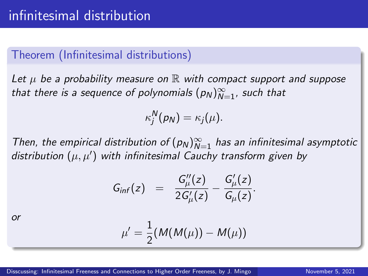### Theorem (Infinitesimal distributions)

Let  $\mu$  be a probability measure on  $\mathbb R$  with compact support and suppose that there is a sequence of polynomials  $(p_N)_{N=1}^\infty$ , such that

$$
\kappa_j^N(p_N)=\kappa_j(\mu).
$$

Then, the empirical distribution of  $(p_N)_{N=1}^{\infty}$  has an infinitesimal asymptotic distribution  $(\mu, \mu')$  with infinitesimal Cauchy transform given by

$$
G_{inf}(z) = \frac{G_{\mu}''(z)}{2G_{\mu}'(z)} - \frac{G_{\mu}'(z)}{G_{\mu}(z)}.
$$

or

$$
\mu'=\frac{1}{2}(M(M(\mu))-M(\mu))
$$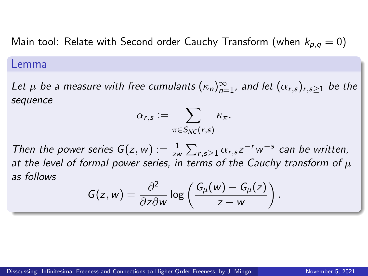Main tool: Relate with Second order Cauchy Transform (when  $k_{p,q} = 0$ )

#### Lemma

Let  $\mu$  be a measure with free cumulants  $(\kappa_n)_{n=1}^\infty$ , and let  $(\alpha_{r,s})_{r,s\geq 1}$  be the sequence

$$
\alpha_{r,s} := \sum_{\pi \in S_{NC}(r,s)} \kappa_{\pi}.
$$

Then the power series  $G(z, w) := \frac{1}{zw} \sum_{r,s \geq 1} \alpha_{r,s} z^{-r} w^{-s}$  can be written, at the level of formal power series, in terms of the Cauchy transform of  $\mu$ as follows

$$
G(z, w) = \frac{\partial^2}{\partial z \partial w} \log \left( \frac{G_\mu(w) - G_\mu(z)}{z - w} \right)
$$

.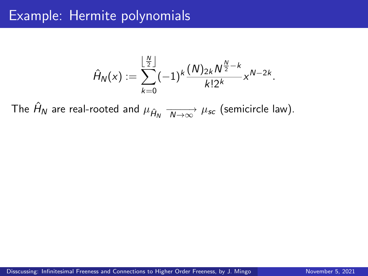## Example: Hermite polynomials

$$
\hat{H}_N(x) := \sum_{k=0}^{\lfloor \frac{N}{2} \rfloor} (-1)^k \frac{(N)_{2k} N^{\frac{N}{2}-k}}{k!2^k} x^{N-2k}.
$$

The  $\hat{H}_\mathsf{N}$  are real-rooted and  $\mu_{\hat{H}_\mathsf{N}} \xrightarrow[N \to \infty]{} \mu_\mathsf{sc}$  (semicircle law).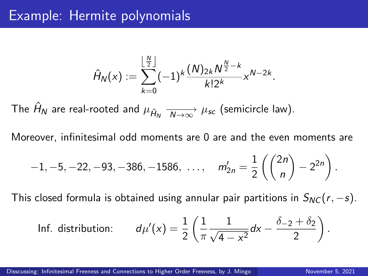### Example: Hermite polynomials

$$
\hat{H}_N(x) := \sum_{k=0}^{\left\lfloor \frac{N}{2} \right\rfloor} (-1)^k \frac{(N)_{2k} N^{\frac{N}{2}-k}}{k! 2^k} x^{N-2k}.
$$

The  $\hat{H}_\mathsf{N}$  are real-rooted and  $\mu_{\hat{H}_\mathsf{N}} \xrightarrow[N \to \infty]{} \mu_\mathsf{sc}$  (semicircle law).

Moreover, infinitesimal odd moments are 0 are and the even moments are

$$
-1, -5, -22, -93, -386, -1586, \ldots, \quad m'_{2n} = \frac{1}{2} \left( {2n \choose n} - 2^{2n} \right).
$$

This closed formula is obtained using annular pair partitions in  $S_{NC}(r, -s)$ .

Inf. distribution: 
$$
d\mu'(x) = \frac{1}{2} \left( \frac{1}{\pi} \frac{1}{\sqrt{4 - x^2}} dx - \frac{\delta_{-2} + \delta_2}{2} \right).
$$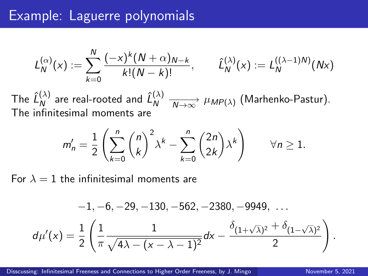$$
L_N^{(\alpha)}(x) := \sum_{k=0}^N \frac{(-x)^k (N+\alpha)_{N-k}}{k!(N-k)!}, \qquad \hat{L}_N^{(\lambda)}(x) := L_N^{((\lambda-1)N)}(Nx)
$$

The  $\hat{L}_N^{(\lambda)}$  $\hat{h}^{(\lambda)}_N$  are real-rooted and  $\hat{L}^{(\lambda)}_N$  $\frac{N}{N}$   $\frac{N}{N\rightarrow\infty}$   $\mu_{MP(\lambda)}$  (Marhenko-Pastur). The infinitesimal moments are

$$
m'_n = \frac{1}{2} \left( \sum_{k=0}^n {n \choose k}^2 \lambda^k - \sum_{k=0}^n {2n \choose 2k} \lambda^k \right) \qquad \forall n \ge 1.
$$

For  $\lambda = 1$  the infinitesimal moments are

$$
-1, -6, -29, -130, -562, -2380, -9949, \ldots
$$

$$
d\mu'(x) = \frac{1}{2} \left( \frac{1}{\pi} \frac{1}{\sqrt{4\lambda - (x - \lambda - 1)^2}} dx - \frac{\delta_{(1+\sqrt{\lambda})^2} + \delta_{(1-\sqrt{\lambda})^2}}{2} \right).
$$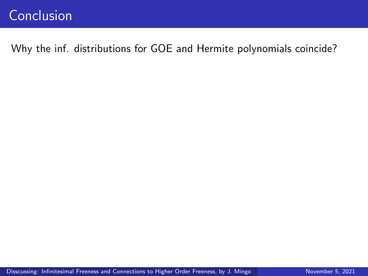## Conclusion

Why the inf. distributions for GOE and Hermite polynomials coincide?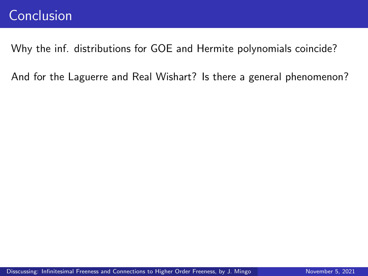## Conclusion

Why the inf. distributions for GOE and Hermite polynomials coincide?

And for the Laguerre and Real Wishart? Is there a general phenomenon?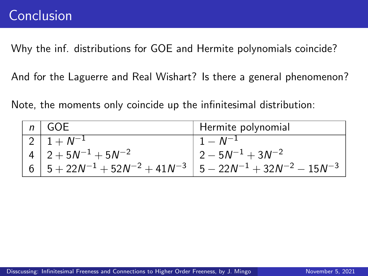Why the inf. distributions for GOE and Hermite polynomials coincide?

And for the Laguerre and Real Wishart? Is there a general phenomenon?

Note, the moments only coincide up the infinitesimal distribution:

| $n \mid GOE$                                                             | Hermite polynomial      |
|--------------------------------------------------------------------------|-------------------------|
| $\frac{1}{2}$   1 + $N^{-1}$                                             | $\mid 1-N^{-1}$         |
| $4\left 2+5N^{-1}+5N^{-2}\right $                                        | $2 - 5N^{-1} + 3N^{-2}$ |
| $6\left 5+22N^{-1}+52N^{-2}+41N^{-3}\right 5-22N^{-1}+32N^{-2}-15N^{-3}$ |                         |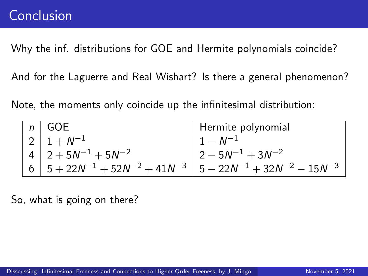Why the inf. distributions for GOE and Hermite polynomials coincide?

And for the Laguerre and Real Wishart? Is there a general phenomenon?

Note, the moments only coincide up the infinitesimal distribution:

| $ n $ GOE                                                                                  | Hermite polynomial               |
|--------------------------------------------------------------------------------------------|----------------------------------|
|                                                                                            | $\mid 1-N^{-1}$                  |
| $\begin{array}{ c c c }\n\hline\n2 & 1 + N^{-1} \\ 4 & 2 + 5N^{-1} + 5N^{-2}\n\end{array}$ | $\left(2-5N^{-1}+3N^{-2}\right)$ |
| $6\left 5+22N^{-1}+52N^{-2}+41N^{-3}\right 5-22N^{-1}+32N^{-2}-15N^{-3}$                   |                                  |

So, what is going on there?